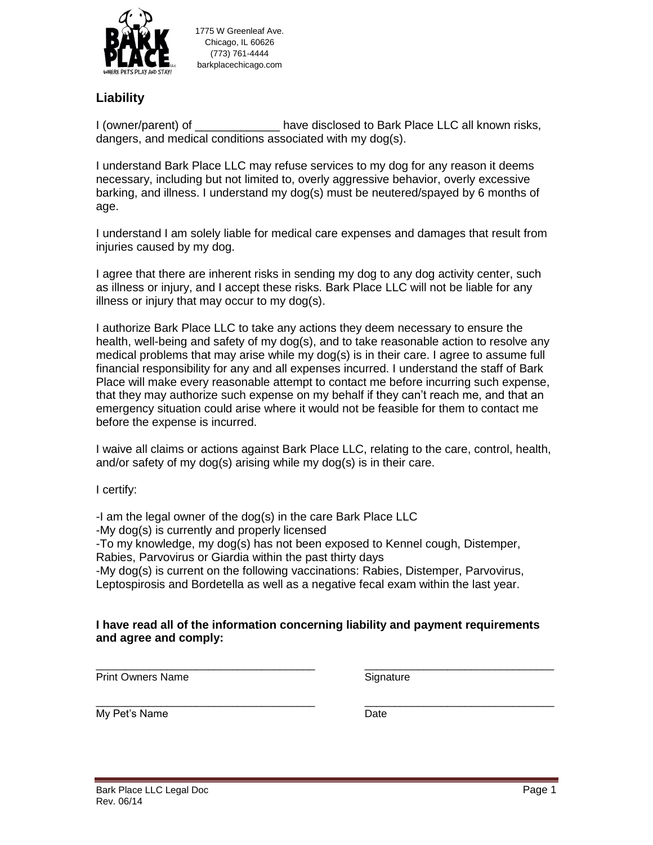

1775 W Greenleaf Ave. Chicago, IL 60626 (773) 761-4444 barkplacechicago.com

## **Liability**

I (owner/parent) of The State disclosed to Bark Place LLC all known risks, dangers, and medical conditions associated with my dog(s).

I understand Bark Place LLC may refuse services to my dog for any reason it deems necessary, including but not limited to, overly aggressive behavior, overly excessive barking, and illness. I understand my dog(s) must be neutered/spayed by 6 months of age.

I understand I am solely liable for medical care expenses and damages that result from injuries caused by my dog.

I agree that there are inherent risks in sending my dog to any dog activity center, such as illness or injury, and I accept these risks. Bark Place LLC will not be liable for any illness or injury that may occur to my dog(s).

I authorize Bark Place LLC to take any actions they deem necessary to ensure the health, well-being and safety of my dog(s), and to take reasonable action to resolve any medical problems that may arise while my dog(s) is in their care. I agree to assume full financial responsibility for any and all expenses incurred. I understand the staff of Bark Place will make every reasonable attempt to contact me before incurring such expense, that they may authorize such expense on my behalf if they can't reach me, and that an emergency situation could arise where it would not be feasible for them to contact me before the expense is incurred.

I waive all claims or actions against Bark Place LLC, relating to the care, control, health, and/or safety of my dog(s) arising while my dog(s) is in their care.

I certify:

-I am the legal owner of the dog(s) in the care Bark Place LLC

-My dog(s) is currently and properly licensed

-To my knowledge, my dog(s) has not been exposed to Kennel cough, Distemper,

Rabies, Parvovirus or Giardia within the past thirty days

-My dog(s) is current on the following vaccinations: Rabies, Distemper, Parvovirus, Leptospirosis and Bordetella as well as a negative fecal exam within the last year.

## **I have read all of the information concerning liability and payment requirements and agree and comply:**

\_\_\_\_\_\_\_\_\_\_\_\_\_\_\_\_\_\_\_\_\_\_\_\_\_\_\_\_\_\_\_\_\_\_\_\_\_ \_\_\_\_\_\_\_\_\_\_\_\_\_\_\_\_\_\_\_\_\_\_\_\_\_\_\_\_\_\_\_\_ Print Owners Name Signature

\_\_\_\_\_\_\_\_\_\_\_\_\_\_\_\_\_\_\_\_\_\_\_\_\_\_\_\_\_\_\_\_\_\_\_\_\_ \_\_\_\_\_\_\_\_\_\_\_\_\_\_\_\_\_\_\_\_\_\_\_\_\_\_\_\_\_\_\_\_ My Pet's Name Date